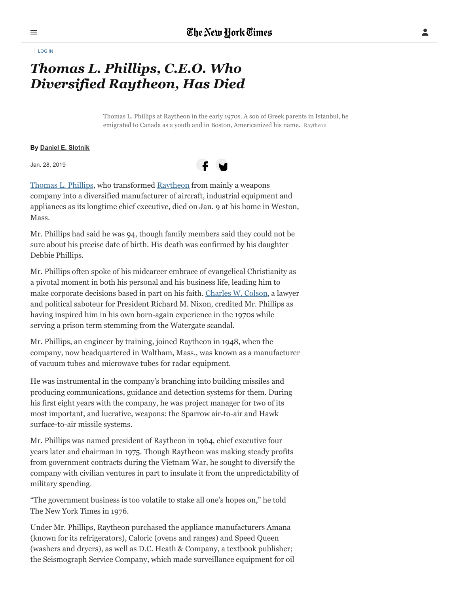[LOG](https://myaccount.nytimes.com/auth/login) IN

## *Thomas L. Phillips, C.E.O. Who Diversified Raytheon, Has Died*

Thomas L. Phillips at Raytheon in the early 1970s. A son of Greek parents in Istanbul, he emigrated to Canada as a youth and in Boston, Americanized his name. Raytheon

## **By Daniel E. [Slotnik](https://www.nytimes.com/by/daniel-e-slotnik)**

Jan. 28, 2019



[Thomas](https://www.raytheon.com/news/feature/leaders-passing) L. Phillips, who transformed [Raytheon](https://www.raytheon.com/) from mainly a weapons company into a diversified manufacturer of aircraft, industrial equipment and appliances as its longtime chief executive, died on Jan. 9 at his home in Weston, Mass.

Mr. Phillips had said he was 94, though family members said they could not be sure about his precise date of birth. His death was confirmed by his daughter Debbie Phillips.

Mr. Phillips often spoke of his midcareer embrace of evangelical Christianity as a pivotal moment in both his personal and his business life, leading him to make corporate decisions based in part on his faith. [Charles](https://www.nytimes.com/2012/04/22/us/politics/charles-w-colson-watergate-felon-who-became-evangelical-leader-dies-at-80.html?module=inline) W. Colson, a lawyer and political saboteur for President Richard M. Nixon, credited Mr. Phillips as having inspired him in his own born-again experience in the 1970s while serving a prison term stemming from the Watergate scandal.

Mr. Phillips, an engineer by training, joined Raytheon in 1948, when the company, now headquartered in Waltham, Mass., was known as a manufacturer of vacuum tubes and microwave tubes for radar equipment.

He was instrumental in the company's branching into building missiles and producing communications, guidance and detection systems for them. During his first eight years with the company, he was project manager for two of its most important, and lucrative, weapons: the Sparrow air-to-air and Hawk surface-to-air missile systems.

Mr. Phillips was named president of Raytheon in 1964, chief executive four years later and chairman in 1975. Though Raytheon was making steady profits from government contracts during the Vietnam War, he sought to diversify the company with civilian ventures in part to insulate it from the unpredictability of military spending.

"The government business is too volatile to stake all one's hopes on," he told The New York Times in 1976.

Under Mr. Phillips, Raytheon purchased the appliance manufacturers Amana (known for its refrigerators), Caloric (ovens and ranges) and Speed Queen (washers and dryers), as well as D.C. Heath & Company, a textbook publisher; the Seismograph Service Company, which made surveillance equipment for oil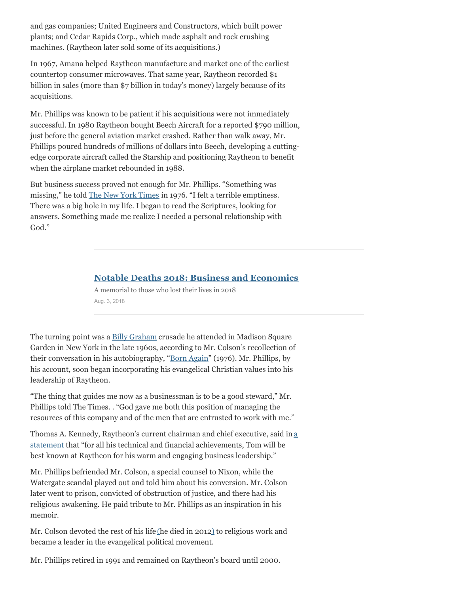and gas companies; United Engineers and Constructors, which built power plants; and Cedar Rapids Corp., which made asphalt and rock crushing machines. (Raytheon later sold some of its acquisitions.)

In 1967, Amana helped Raytheon manufacture and market one of the earliest countertop consumer microwaves. That same year, Raytheon recorded \$1 billion in sales (more than \$7 billion in today's money) largely because of its acquisitions.

Mr. Phillips was known to be patient if his acquisitions were not immediately successful. In 1980 Raytheon bought Beech Aircraft for a reported \$790 million, just before the general aviation market crashed. Rather than walk away, Mr. Phillips poured hundreds of millions of dollars into Beech, developing a cuttingedge corporate aircraft called the Starship and positioning Raytheon to benefit when the airplane market rebounded in 1988.

But business success proved not enough for Mr. Phillips. "Something was missing," he told The New York [Times](https://www.nytimes.com/1976/08/08/archives/the-gospel-and-mr-hawk.html?module=inline) in 1976. "I felt a terrible emptiness. There was a big hole in my life. I began to read the Scriptures, looking for answers. Something made me realize I needed a personal relationship with God."

## **Notable Deaths 2018: Business and Economics**

A memorial to those who lost their lives in 2018 Aug. 3, 2018

The turning point was a **Billy [Graham](https://www.nytimes.com/2018/02/21/obituaries/billy-graham-dead.html?module=inline)** crusade he attended in Madison Square Garden in New York in the late 1960s, according to Mr. Colson's recollection of their conversation in his autobiography, "Born [Again](https://www.nytimes.com/1976/03/28/archives/born-again.html?module=inline)" (1976). Mr. Phillips, by his account, soon began incorporating his evangelical Christian values into his leadership of Raytheon.

"The thing that guides me now as a businessman is to be a good steward," Mr. Phillips told The Times. . "God gave me both this position of managing the resources of this company and of the men that are entrusted to work with me."

Thomas A. Kennedy, Raytheon's current chairman and chief executive, said in a statement that "for all his technical and financial [achievements,](https://www.raytheon.com/news/feature/thomas-kennedy-passing-former-raytheon-chairman-and-ceo-thomas-l-phillips) Tom will be best known at Raytheon for his warm and engaging business leadership."

Mr. Phillips befriended Mr. Colson, a special counsel to Nixon, while the Watergate scandal played out and told him about his conversion. Mr. Colson later went to prison, convicted of obstruction of justice, and there had his religious awakening. He paid tribute to Mr. Phillips as an inspiration in his memoir.

Mr. Colson devoted the rest of his life [\(](https://www.nytimes.com/2012/04/22/us/politics/charles-w-colson-watergate-felon-who-became-evangelical-leader-dies-at-80.html?module=inline)he died in 201[2\)](https://www.nytimes.com/2012/04/22/us/politics/charles-w-colson-watergate-felon-who-became-evangelical-leader-dies-at-80.html?module=inline) to religious work and became a leader in the evangelical political movement.

Mr. Phillips retired in 1991 and remained on Raytheon's board until 2000.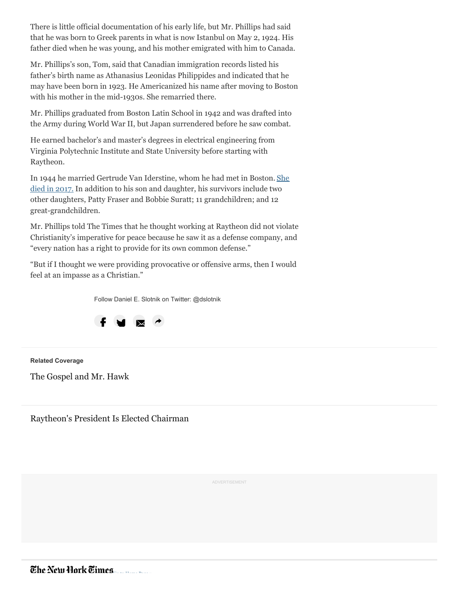There is little official documentation of his early life, but Mr. Phillips had said that he was born to Greek parents in what is now Istanbul on May 2, 1924. His father died when he was young, and his mother emigrated with him to Canada.

Mr. Phillips's son, Tom, said that Canadian immigration records listed his father's birth name as Athanasius Leonidas Philippides and indicated that he may have been born in 1923. He Americanized his name after moving to Boston with his mother in the mid-1930s. She remarried there.

Mr. Phillips graduated from Boston Latin School in 1942 and was drafted into the Army during World War II, but Japan surrendered before he saw combat.

He earned bachelor's and master's degrees in electrical engineering from Virginia Polytechnic Institute and State University before starting with Raytheon.

In 1944 he married Gertrude Van [Iderstine,](http://www.legacy.com/obituaries/bostonglobe/obituary.aspx?n=gertrude-van-iderstine-phillips&pid=187343941&fhid=20778) whom he had met in Boston. She died in 2017. In addition to his son and daughter, his survivors include two other daughters, Patty Fraser and Bobbie Suratt; 11 grandchildren; and 12 great-grandchildren.

Mr. Phillips told The Times that he thought working at Raytheon did not violate Christianity's imperative for peace because he saw it as a defense company, and "every nation has a right to provide for its own common defense."

"But if I thought we were providing provocative or offensive arms, then I would feel at an impasse as a Christian."

Follow Daniel E. Slotnik on Twitter: @dslotnik



**Related Coverage**

The [Gospel](https://www.nytimes.com/1976/08/08/archives/the-gospel-and-mr-hawk.html?action=click&module=RelatedCoverage&pgtype=Article®ion=Footer) and Mr. Hawk

[Raytheon's](https://www.nytimes.com/1990/10/25/business/business-people-raytheon-s-president-is-elected-chairman.html?action=click&module=RelatedCoverage&pgtype=Article®ion=Footer) President Is Elected Chairman